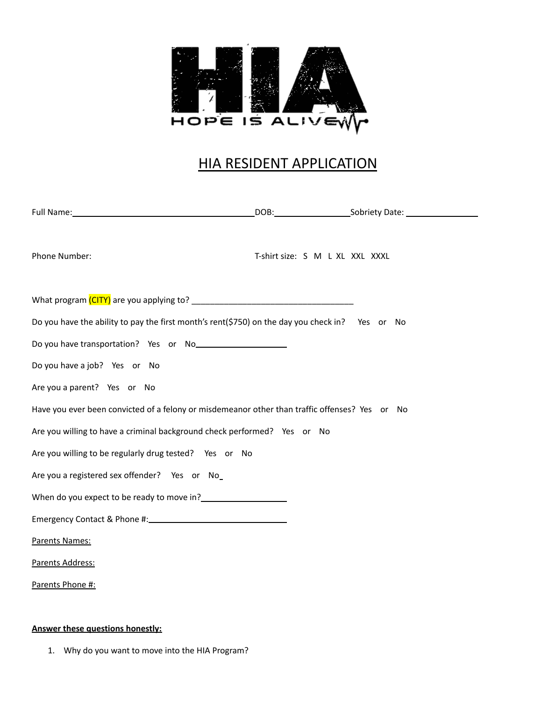

## HIA RESIDENT APPLICATION

| Phone Number:                                                                                                  | T-shirt size: S M L XL XXL XXXL |  |
|----------------------------------------------------------------------------------------------------------------|---------------------------------|--|
|                                                                                                                |                                 |  |
| Do you have the ability to pay the first month's rent(\$750) on the day you check in? Yes or No                |                                 |  |
| Do you have transportation? Yes or No<br>No you have transportation? Yes or No                                 |                                 |  |
| Do you have a job? Yes or No                                                                                   |                                 |  |
| Are you a parent? Yes or No                                                                                    |                                 |  |
| Have you ever been convicted of a felony or misdemeanor other than traffic offenses? Yes or No                 |                                 |  |
| Are you willing to have a criminal background check performed? Yes or No                                       |                                 |  |
| Are you willing to be regularly drug tested? Yes or No                                                         |                                 |  |
| Are you a registered sex offender? Yes or No_                                                                  |                                 |  |
| When do you expect to be ready to move in?<br><u> </u>                                                         |                                 |  |
| Emergency Contact & Phone #: 1999 Manual Manual Manual Manual Manual Manual Manual Manual Manual Manual Manual |                                 |  |
| Parents Names:                                                                                                 |                                 |  |
| Parents Address:                                                                                               |                                 |  |
| Parents Phone #:                                                                                               |                                 |  |

## **Answer these questions honestly:**

1. Why do you want to move into the HIA Program?